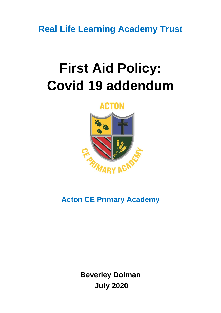**Real Life Learning Academy Trust**

# **First Aid Policy: Covid 19 addendum**

## **ACTON**



# **Acton CE Primary Academy**

**Beverley Dolman July 2020**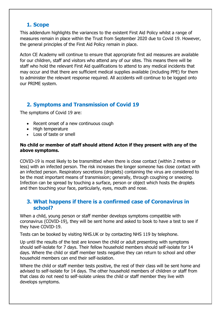#### **1. Scope**

This addendum highlights the variances to the existent First Aid Policy whilst a range of measures remain in place within the Trust from September 2020 due to Covid 19. However, the general principles of the First Aid Policy remain in place.

Acton CE Academy will continue to ensure that appropriate first aid measures are available for our children, staff and visitors who attend any of our sites. This means there will be staff who hold the relevant First Aid qualifications to attend to any medical incidents that may occur and that there are sufficient medical supplies available (including PPE) for them to administer the relevant response required. All accidents will continue to be logged onto our PRIME system.

## **2. Symptoms and Transmission of Covid 19**

The symptoms of Covid 19 are:

- Recent onset of a new continuous cough
- High temperature
- Loss of taste or smell

#### **No child or member of staff should attend Acton if they present with any of the above symptoms.**

COVID-19 is most likely to be transmitted when there is close contact (within 2 metres or less) with an infected person. The risk increases the longer someone has close contact with an infected person. Respiratory secretions (droplets) containing the virus are considered to be the most important means of transmission; generally, through coughing or sneezing. Infection can be spread by touching a surface, person or object which hosts the droplets and then touching your face, particularly, eyes, mouth and nose.

#### **3. What happens if there is a confirmed case of Coronavirus in school?**

When a child, young person or staff member develops symptoms compatible with coronavirus (COVID-19), they will be sent home and asked to book to have a test to see if they have COVID-19.

Tests can be booked by visiting NHS.UK or by contacting NHS 119 by telephone.

Up until the results of the test are known the child or adult presenting with symptoms should self-isolate for 7 days. Their fellow household members should self-isolate for 14 days. Where the child or staff member tests negative they can return to school and other household members can end their self-isolation.

Where the child or staff member tests positive, the rest of their class will be sent home and advised to self-isolate for 14 days. The other household members of children or staff from that class do not need to self-isolate unless the child or staff member they live with develops symptoms.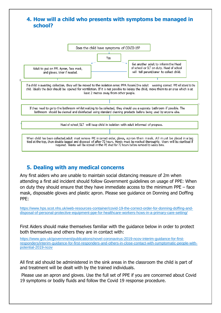

### **5. Dealing with any medical concerns**

Any first aiders who are unable to maintain social distancing measure of 2m when attending a first aid incident should follow Government guidelines on usage of PPE: When on duty they should ensure that they have immediate access to the minimum PPE – face mask, disposable gloves and plastic apron. Please see guidance on Donning and Doffing PPE:

[https://www.hps.scot.nhs.uk/web-resources-container/covid-19-the-correct-order-for-donning-doffing-and](https://www.hps.scot.nhs.uk/web-resources-container/covid-19-the-correct-order-for-donning-doffing-and-disposal-of-personal-protective-equipment-ppe-for-healthcare-workers-hcws-in-a-primary-care-setting/)[disposal-of-personal-protective-equipment-ppe-for-healthcare-workers-hcws-in-a-primary-care-setting/](https://www.hps.scot.nhs.uk/web-resources-container/covid-19-the-correct-order-for-donning-doffing-and-disposal-of-personal-protective-equipment-ppe-for-healthcare-workers-hcws-in-a-primary-care-setting/)

First Aiders should make themselves familiar with the guidance below in order to protect both themselves and others they are in contact with:

[https://www.gov.uk/government/publications/novel-coronavirus-2019-ncov-interim-guidance-for-first](https://www.gov.uk/government/publications/novel-coronavirus-2019-ncov-interim-guidance-for-first-responders/interim-guidance-for-first-responders-and-others-in-close-contact-with-symptomatic-people-with-potential-2019-ncov)[responders/interim-guidance-for-first-responders-and-others-in-close-contact-with-symptomatic-people-with](https://www.gov.uk/government/publications/novel-coronavirus-2019-ncov-interim-guidance-for-first-responders/interim-guidance-for-first-responders-and-others-in-close-contact-with-symptomatic-people-with-potential-2019-ncov)[potential-2019-ncov](https://www.gov.uk/government/publications/novel-coronavirus-2019-ncov-interim-guidance-for-first-responders/interim-guidance-for-first-responders-and-others-in-close-contact-with-symptomatic-people-with-potential-2019-ncov)

All first aid should be administered in the sink areas in the classroom the child is part of and treatment will be dealt with by the trained individuals.

Please use an apron and gloves. Use the full set of PPE if you are concerned about Covid 19 symptoms or bodily fluids and follow the Covid 19 response procedure.